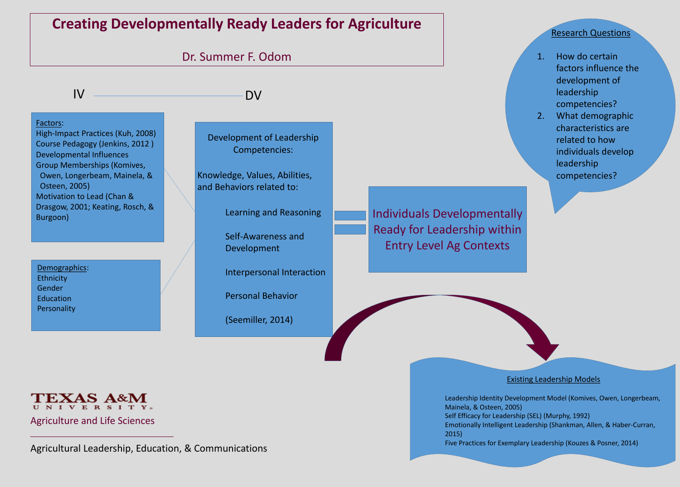Factors: High-Impact Practices (Kuh, 2008) Course Pedagogy (Jenkins, 2012 ) Developmental Influences Group Memberships (Komives, Owen, Longerbeam, Mainela, & Osteen, 2005) Motivation to Lead (Chan & Drasgow, 2001; Keating, Rosch, & Burgoon)

Demographics: **Ethnicity** Gender **Education** Personality



Knowledge, Values, Abilities, and Behaviors related to:

Development of Leadership Competencies:

Learning and Reasoning

Self-Awareness and Development

Interpersonal Interaction

Personal Behavior

(Seemiller, 2014)

Existing Leadership Models

Leadership Identity Development Model (Komives, Owen, Longerbeam, Mainela, & Osteen, 2005) Self Efficacy for Leadership (SEL) (Murphy, 1992) Emotionally Intelligent Leadership (Shankman, Allen, & Haber-Curran, 2015)

Five Practices for Exemplary Leadership (Kouzes & Posner, 2014)

# Research Questions

|    | How do certain        |
|----|-----------------------|
|    | factors influence the |
|    | development of        |
|    | leadership            |
|    | competencies?         |
| 2. | What demographic      |
|    | characteristics are   |
|    | related to how        |
|    | individuals develop   |
|    | leadership            |
|    | competencies?         |
|    |                       |

# Individuals Developmentally Ready for Leadership within Entry Level Ag Contexts

Agriculture and Life Sciences

Agricultural Leadership, Education, & Communications

 $\mathcal{L}_\mathcal{L}$  , the contract of the contract of the contract of the contract of the contract of the contract of the contract of the contract of the contract of the contract of the contract of the contract of the contract

**Creating Developmentally Ready Leaders for Agriculture**

# Dr. Summer F. Odom

IV DV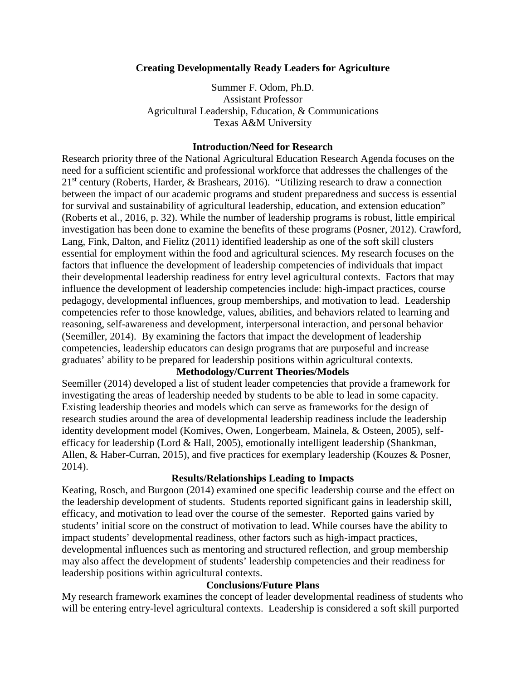# **Creating Developmentally Ready Leaders for Agriculture**

Summer F. Odom, Ph.D. Assistant Professor Agricultural Leadership, Education, & Communications Texas A&M University

### **Introduction/Need for Research**

Research priority three of the National Agricultural Education Research Agenda focuses on the need for a sufficient scientific and professional workforce that addresses the challenges of the 21<sup>st</sup> century (Roberts, Harder, & Brashears, 2016). "Utilizing research to draw a connection between the impact of our academic programs and student preparedness and success is essential for survival and sustainability of agricultural leadership, education, and extension education" (Roberts et al., 2016, p. 32). While the number of leadership programs is robust, little empirical investigation has been done to examine the benefits of these programs (Posner, 2012). Crawford, Lang, Fink, Dalton, and Fielitz (2011) identified leadership as one of the soft skill clusters essential for employment within the food and agricultural sciences. My research focuses on the factors that influence the development of leadership competencies of individuals that impact their developmental leadership readiness for entry level agricultural contexts. Factors that may influence the development of leadership competencies include: high-impact practices, course pedagogy, developmental influences, group memberships, and motivation to lead. Leadership competencies refer to those knowledge, values, abilities, and behaviors related to learning and reasoning, self-awareness and development, interpersonal interaction, and personal behavior (Seemiller, 2014). By examining the factors that impact the development of leadership competencies, leadership educators can design programs that are purposeful and increase graduates' ability to be prepared for leadership positions within agricultural contexts.

# **Methodology/Current Theories/Models**

Seemiller (2014) developed a list of student leader competencies that provide a framework for investigating the areas of leadership needed by students to be able to lead in some capacity. Existing leadership theories and models which can serve as frameworks for the design of research studies around the area of developmental leadership readiness include the leadership identity development model (Komives, Owen, Longerbeam, Mainela, & Osteen, 2005), selfefficacy for leadership (Lord & Hall, 2005), emotionally intelligent leadership (Shankman, Allen, & Haber-Curran, 2015), and five practices for exemplary leadership (Kouzes & Posner, 2014).

# **Results/Relationships Leading to Impacts**

Keating, Rosch, and Burgoon (2014) examined one specific leadership course and the effect on the leadership development of students. Students reported significant gains in leadership skill, efficacy, and motivation to lead over the course of the semester. Reported gains varied by students' initial score on the construct of motivation to lead. While courses have the ability to impact students' developmental readiness, other factors such as high-impact practices, developmental influences such as mentoring and structured reflection, and group membership may also affect the development of students' leadership competencies and their readiness for leadership positions within agricultural contexts.

# **Conclusions/Future Plans**

My research framework examines the concept of leader developmental readiness of students who will be entering entry-level agricultural contexts. Leadership is considered a soft skill purported